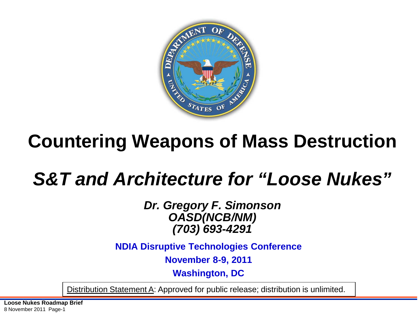

## **Countering Weapons of Mass Destruction**

## *S&T and Architecture for "Loose Nukes"*

*Dr. Gregory F. Simonson OASD(NCB/NM) (703) 693-4291*

**NDIA Disruptive Technologies Conference**

**November 8-9, 2011**

**Washington, DC**

Distribution Statement A: Approved for public release; distribution is unlimited.

**Loose Nukes Roadmap Brief**  8 November 2011 Page-1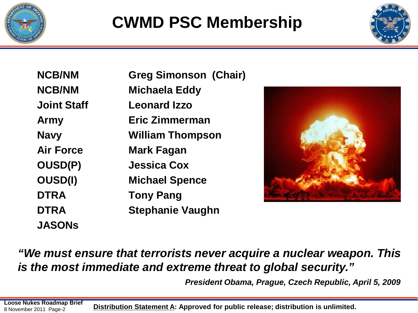



| <b>NCB/NM</b>      | <b>Greg Simonson (Chair)</b> |
|--------------------|------------------------------|
| <b>NCB/NM</b>      | Michaela Eddy                |
| <b>Joint Staff</b> | <b>Leonard Izzo</b>          |
| <b>Army</b>        | Eric Zimmerman               |
| <b>Navy</b>        | <b>William Thompson</b>      |
| <b>Air Force</b>   | <b>Mark Fagan</b>            |
| <b>OUSD(P)</b>     | <b>Jessica Cox</b>           |
| <b>OUSD(I)</b>     | <b>Michael Spence</b>        |
| <b>DTRA</b>        | <b>Tony Pang</b>             |
| <b>DTRA</b>        | <b>Stephanie Vaughn</b>      |
| <b>JASONs</b>      |                              |



#### *"We must ensure that terrorists never acquire a nuclear weapon. This is the most immediate and extreme threat to global security."*

*President Obama, Prague, Czech Republic, April 5, 2009*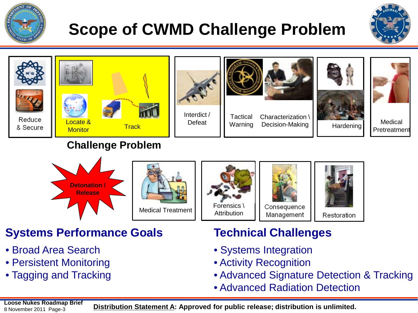

### **Scope of CWMD Challenge Problem**









Interdict /



Tactical Warning Characterization \ Decision-Making





Hardening Medical **Pretreatment** 

#### **Challenge Problem**







Consequence Management



**Systems Performance Goals Technical Challenges**

- Broad Area Search
- Persistent Monitoring
- Tagging and Tracking

- Systems Integration
- Activity Recognition
- Advanced Signature Detection & Tracking
- Advanced Radiation Detection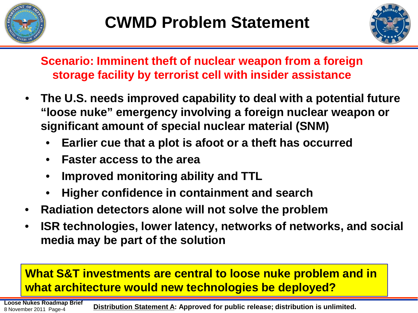



**Scenario: Imminent theft of nuclear weapon from a foreign storage facility by terrorist cell with insider assistance**

- **The U.S. needs improved capability to deal with a potential future "loose nuke" emergency involving a foreign nuclear weapon or significant amount of special nuclear material (SNM)**
	- **Earlier cue that a plot is afoot or a theft has occurred**
	- **Faster access to the area**
	- **Improved monitoring ability and TTL**
	- **Higher confidence in containment and search**
- **Radiation detectors alone will not solve the problem**
- **ISR technologies, lower latency, networks of networks, and social media may be part of the solution**

#### **What S&T investments are central to loose nuke problem and in what architecture would new technologies be deployed?**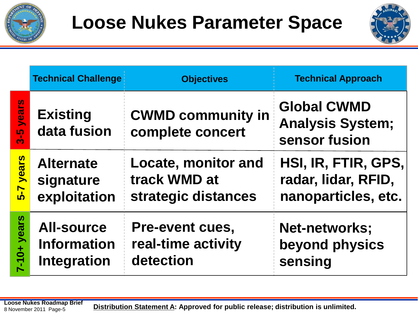



|                                | <b>Technical Challenge</b>                                    | <b>Objectives</b>                                                 | <b>Technical Approach</b>                                         |
|--------------------------------|---------------------------------------------------------------|-------------------------------------------------------------------|-------------------------------------------------------------------|
| <b>rear</b><br><mark>ე.</mark> | <b>Existing</b><br>data fusion                                | <b>CWMD community in</b><br>complete concert                      | <b>Global CWMD</b><br><b>Analysis System;</b><br>sensor fusion    |
| years<br>5-7                   | <b>Alternate</b><br>signature<br>exploitation                 | <b>Locate, monitor and</b><br>track WMD at<br>strategic distances | HSI, IR, FTIR, GPS,<br>radar, lidar, RFID,<br>nanoparticles, etc. |
| $7-10+$ years                  | <b>All-source</b><br><b>Information</b><br><b>Integration</b> | <b>Pre-event cues,</b><br>real-time activity<br>detection         | <b>Net-networks;</b><br>beyond physics<br>sensing                 |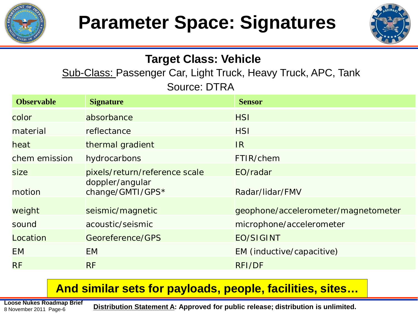



### **Target Class: Vehicle**

Sub-Class: Passenger Car, Light Truck, Heavy Truck, APC, Tank Source: DTRA

| <b>Observable</b> | <b>Signature</b>                    | <b>Sensor</b>                       |
|-------------------|-------------------------------------|-------------------------------------|
| color             | absorbance                          | <b>HSI</b>                          |
| material          | reflectance                         | <b>HSI</b>                          |
| heat              | thermal gradient                    | IR.                                 |
| chem emission     | hydrocarbons                        | FTIR/chem                           |
| <b>size</b>       | pixels/return/reference scale       | EO/radar                            |
| motion            | doppler/angular<br>change/GMTI/GPS* | Radar/lidar/FMV                     |
| weight            | seismic/magnetic                    | geophone/accelerometer/magnetometer |
| sound             | acoustic/seismic                    | microphone/accelerometer            |
| Location          | Georeference/GPS                    | <b>EO/SIGINT</b>                    |
| <b>EM</b>         | <b>EM</b>                           | EM (inductive/capacitive)           |
| <b>RF</b>         | <b>RF</b>                           | <b>RFI/DF</b>                       |

#### **And similar sets for payloads, people, facilities, sites…**

8 November 2011 Page-6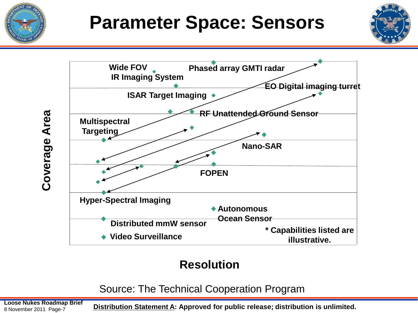





#### **Resolution**

Source: The Technical Cooperation Program

8 November 2011 Page-7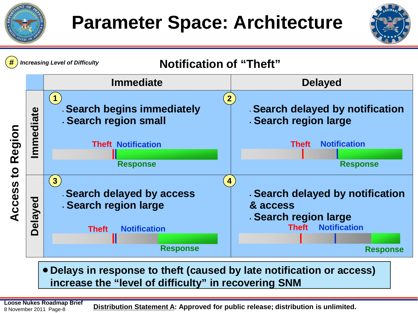





• **Delays in response to theft (caused by late notification or access) increase the "level of difficulty" in recovering SNM**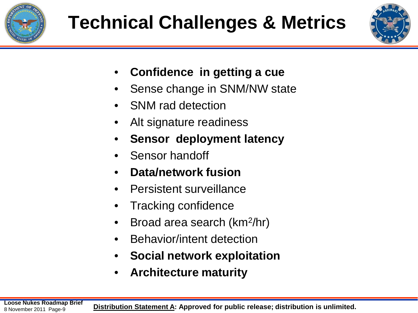



- **Confidence in getting a cue**
- Sense change in SNM/NW state
- SNM rad detection
- Alt signature readiness
- **Sensor deployment latency**
- Sensor handoff
- **Data/network fusion**
- Persistent surveillance
- Tracking confidence
- Broad area search (km2/hr)
- Behavior/intent detection
- **Social network exploitation**
- **Architecture maturity**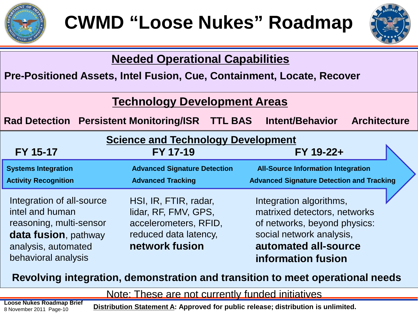



| <b>Needed Operational Capabilities</b>                                                                                                        |                                                                                                                   |                                                                                                                                                                   |
|-----------------------------------------------------------------------------------------------------------------------------------------------|-------------------------------------------------------------------------------------------------------------------|-------------------------------------------------------------------------------------------------------------------------------------------------------------------|
| Pre-Positioned Assets, Intel Fusion, Cue, Containment, Locate, Recover                                                                        |                                                                                                                   |                                                                                                                                                                   |
|                                                                                                                                               | <b>Technology Development Areas</b>                                                                               |                                                                                                                                                                   |
| Rad Detection Persistent Monitoring/ISR TTL BAS Intent/Behavior Architecture                                                                  |                                                                                                                   |                                                                                                                                                                   |
| FY 15-17                                                                                                                                      | <b>Science and Technology Development</b><br>FY 17-19                                                             | FY 19-22+                                                                                                                                                         |
| <b>Systems Integration</b><br><b>Activity Recognition</b>                                                                                     | <b>Advanced Signature Detection</b><br><b>Advanced Tracking</b>                                                   | <b>All-Source Information Integration</b><br><b>Advanced Signature Detection and Tracking</b>                                                                     |
| Integration of all-source<br>intel and human<br>reasoning, multi-sensor<br>data fusion, pathway<br>analysis, automated<br>behavioral analysis | HSI, IR, FTIR, radar,<br>lidar, RF, FMV, GPS,<br>accelerometers, RFID,<br>reduced data latency,<br>network fusion | Integration algorithms,<br>matrixed detectors, networks<br>of networks, beyond physics:<br>social network analysis,<br>automated all-source<br>information fusion |

#### **Revolving integration, demonstration and transition to meet operational needs**

#### Note: These are not currently funded initiatives

8 November 2011 Page-10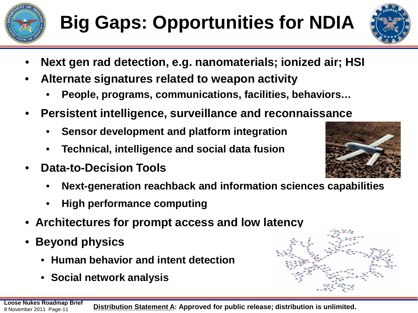

# **Big Gaps: Opportunities for NDIA**



- **Next gen rad detection, e.g. nanomaterials; ionized air; HSI**
- **Alternate signatures related to weapon activity**
	- **People, programs, communications, facilities, behaviors…**
- **Persistent intelligence, surveillance and reconnaissance**
	- **Sensor development and platform integration**
	- **Technical, intelligence and social data fusion**
- **Data-to-Decision Tools**
	- **Next-generation reachback and information sciences capabilities**
	- **High performance computing**
- **Architectures for prompt access and low latency**
- **Beyond physics**
	- **Human behavior and intent detection**
	- **Social network analysis**



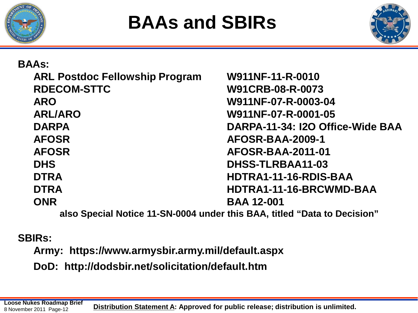



| <b>BAAs:</b>                          |                                                                           |
|---------------------------------------|---------------------------------------------------------------------------|
| <b>ARL Postdoc Fellowship Program</b> | W911NF-11-R-0010                                                          |
| <b>RDECOM-STTC</b>                    | W91CRB-08-R-0073                                                          |
| <b>ARO</b>                            | W911NF-07-R-0003-04                                                       |
| <b>ARL/ARO</b>                        | W911NF-07-R-0001-05                                                       |
| <b>DARPA</b>                          | DARPA-11-34: I2O Office-Wide BAA                                          |
| <b>AFOSR</b>                          | AFOSR-BAA-2009-1                                                          |
| <b>AFOSR</b>                          | <b>AFOSR-BAA-2011-01</b>                                                  |
| <b>DHS</b>                            | DHSS-TLRBAA11-03                                                          |
| <b>DTRA</b>                           | HDTRA1-11-16-RDIS-BAA                                                     |
| <b>DTRA</b>                           | HDTRA1-11-16-BRCWMD-BAA                                                   |
| <b>ONR</b>                            | <b>BAA 12-001</b>                                                         |
|                                       | alco Concipi Nation 11 CNI 0004 under this DAA, titled "Data to Desigion" |

**also Special Notice 11-SN-0004 under this BAA, titled "Data to Decision"**

#### **SBIRs:**

**Army: https://www.armysbir.army.mil/default.aspx**

**DoD: http://dodsbir.net/solicitation/default.htm**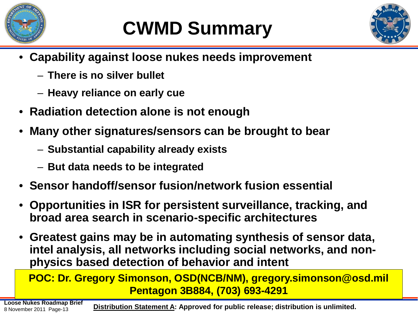

# **CWMD Summary**



- **Capability against loose nukes needs improvement**
	- **There is no silver bullet**
	- **Heavy reliance on early cue**
- **Radiation detection alone is not enough**
- **Many other signatures/sensors can be brought to bear**
	- **Substantial capability already exists**
	- **But data needs to be integrated**
- **Sensor handoff/sensor fusion/network fusion essential**
- **Opportunities in ISR for persistent surveillance, tracking, and broad area search in scenario-specific architectures**
- **Greatest gains may be in automating synthesis of sensor data, intel analysis, all networks including social networks, and nonphysics based detection of behavior and intent**

**POC: Dr. Gregory Simonson, OSD(NCB/NM), gregory.simonson@osd.mil Pentagon 3B884, (703) 693-4291**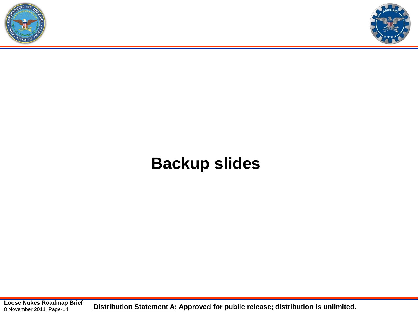



### **Backup slides**

**Loose Nukes Roadmap Brief**<br>**8 November 2011 Page-14 Distribution Statement A: Approved for public release; distribution is unlimited.** 8 November 2011 Page-14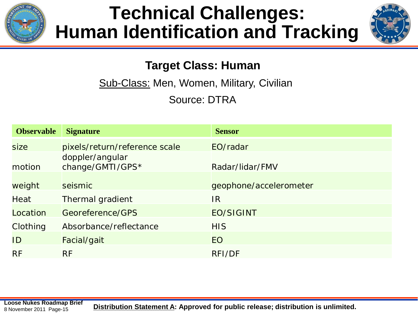

### **Technical Challenges: Human Identification and Tracking**



#### **Target Class: Human**

Sub-Class: Men, Women, Military, Civilian

Source: DTRA

| <b>Observable</b> | <b>Signature</b>                    | <b>Sensor</b>          |
|-------------------|-------------------------------------|------------------------|
| size              | pixels/return/reference scale       | EO/radar               |
| motion            | doppler/angular<br>change/GMTI/GPS* | Radar/lidar/FMV        |
| weight            | seismic                             | geophone/accelerometer |
| Heat              | <b>Thermal gradient</b>             | IR.                    |
| Location          | Georeference/GPS                    | <b>EO/SIGINT</b>       |
| Clothing          | Absorbance/reflectance              | <b>HIS</b>             |
| ID                | Facial/gait                         | <b>EO</b>              |
| <b>RF</b>         | <b>RF</b>                           | <b>RFI/DF</b>          |

8 November 2011 Page-15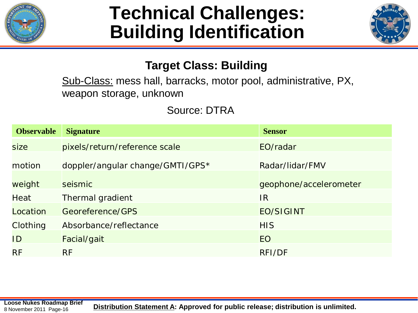

### **Technical Challenges: Building Identification**



#### **Target Class: Building**

Sub-Class: mess hall, barracks, motor pool, administrative, PX, weapon storage, unknown

Source: DTRA

| <b>Observable</b> | <b>Signature</b>                 | <b>Sensor</b>          |
|-------------------|----------------------------------|------------------------|
| size              | pixels/return/reference scale    | EO/radar               |
| motion            | doppler/angular change/GMTI/GPS* | Radar/lidar/FMV        |
| weight            | seismic                          | geophone/accelerometer |
| Heat              | Thermal gradient                 | <b>IR</b>              |
| Location          | Georeference/GPS                 | <b>EO/SIGINT</b>       |
| Clothing          | Absorbance/reflectance           | <b>HIS</b>             |
| ID                | Facial/gait                      | <b>EO</b>              |
| <b>RF</b>         | <b>RF</b>                        | <b>RFI/DF</b>          |

8 November 2011 Page-16

**Loose Nukes Roadmap Brief**<br>8 November 2011, Page-16<br>8 November 2011, Page-16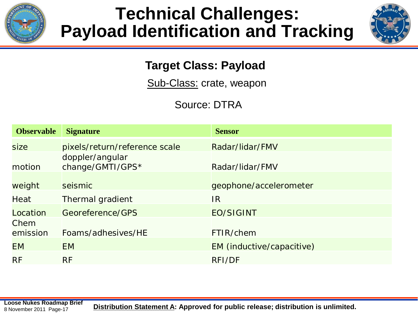

### **Technical Challenges: Payload Identification and Tracking**



#### **Target Class: Payload**

Sub-Class: crate, weapon

Source: DTRA

| <b>Observable</b> | <b>Signature</b>                    | <b>Sensor</b>             |
|-------------------|-------------------------------------|---------------------------|
| size              | pixels/return/reference scale       | Radar/lidar/FMV           |
| motion            | doppler/angular<br>change/GMTI/GPS* | Radar/lidar/FMV           |
| weight            | seismic                             | geophone/accelerometer    |
| Heat              | Thermal gradient                    | IR.                       |
| Location          | Georeference/GPS                    | <b>EO/SIGINT</b>          |
| Chem<br>emission  | Foams/adhesives/HE                  | FTIR/chem                 |
| <b>EM</b>         | EM.                                 | EM (inductive/capacitive) |
| <b>RF</b>         | <b>RF</b>                           | RFI/DF                    |

8 November 2011 Page-17